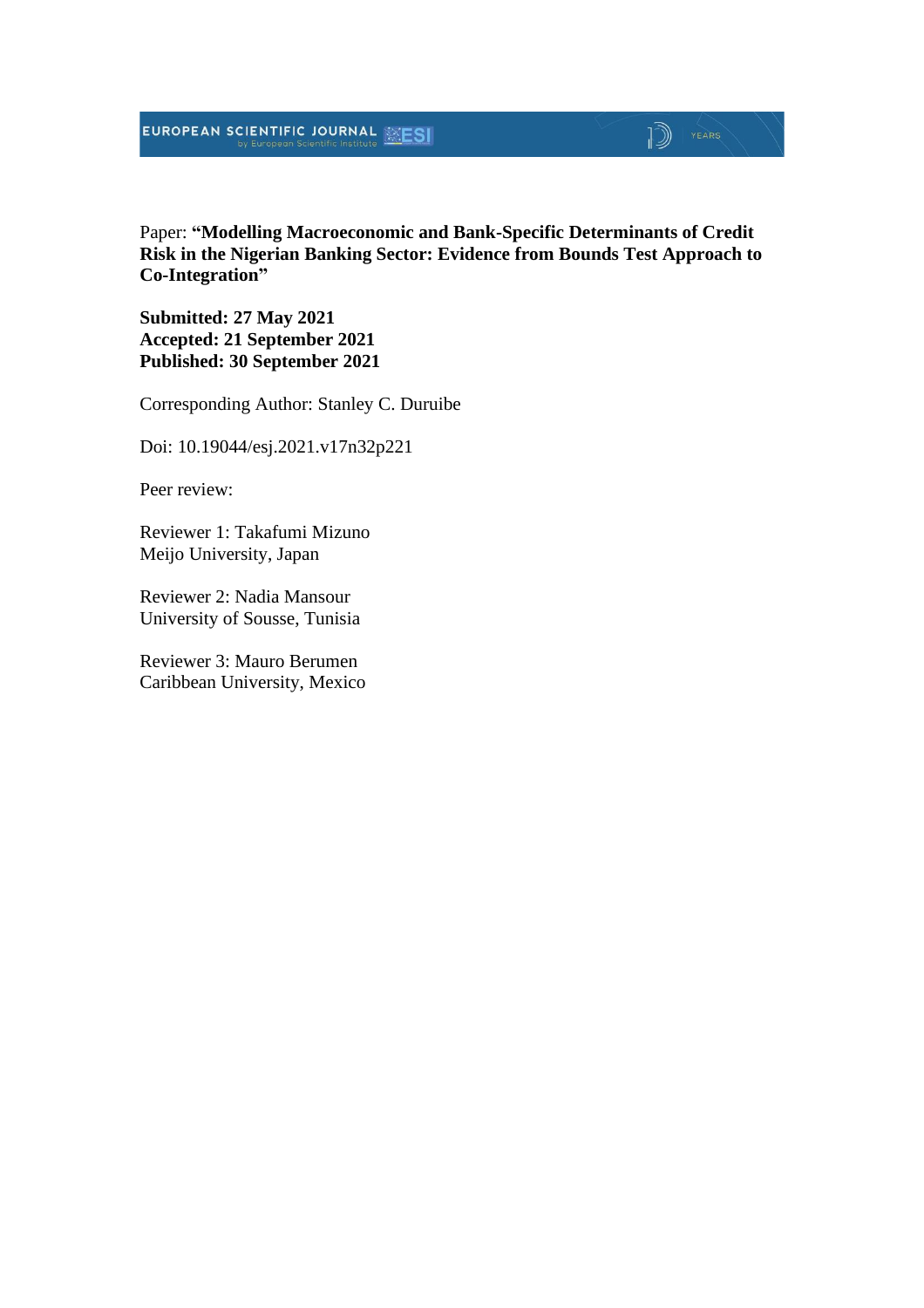Paper: **"Modelling Macroeconomic and Bank-Specific Determinants of Credit Risk in the Nigerian Banking Sector: Evidence from Bounds Test Approach to Co-Integration"**

**Submitted: 27 May 2021 Accepted: 21 September 2021 Published: 30 September 2021**

Corresponding Author: Stanley C. Duruibe

Doi: 10.19044/esj.2021.v17n32p221

Peer review:

Reviewer 1: Takafumi Mizuno Meijo University, Japan

Reviewer 2: Nadia Mansour University of Sousse, Tunisia

Reviewer 3: Mauro Berumen Caribbean University, Mexico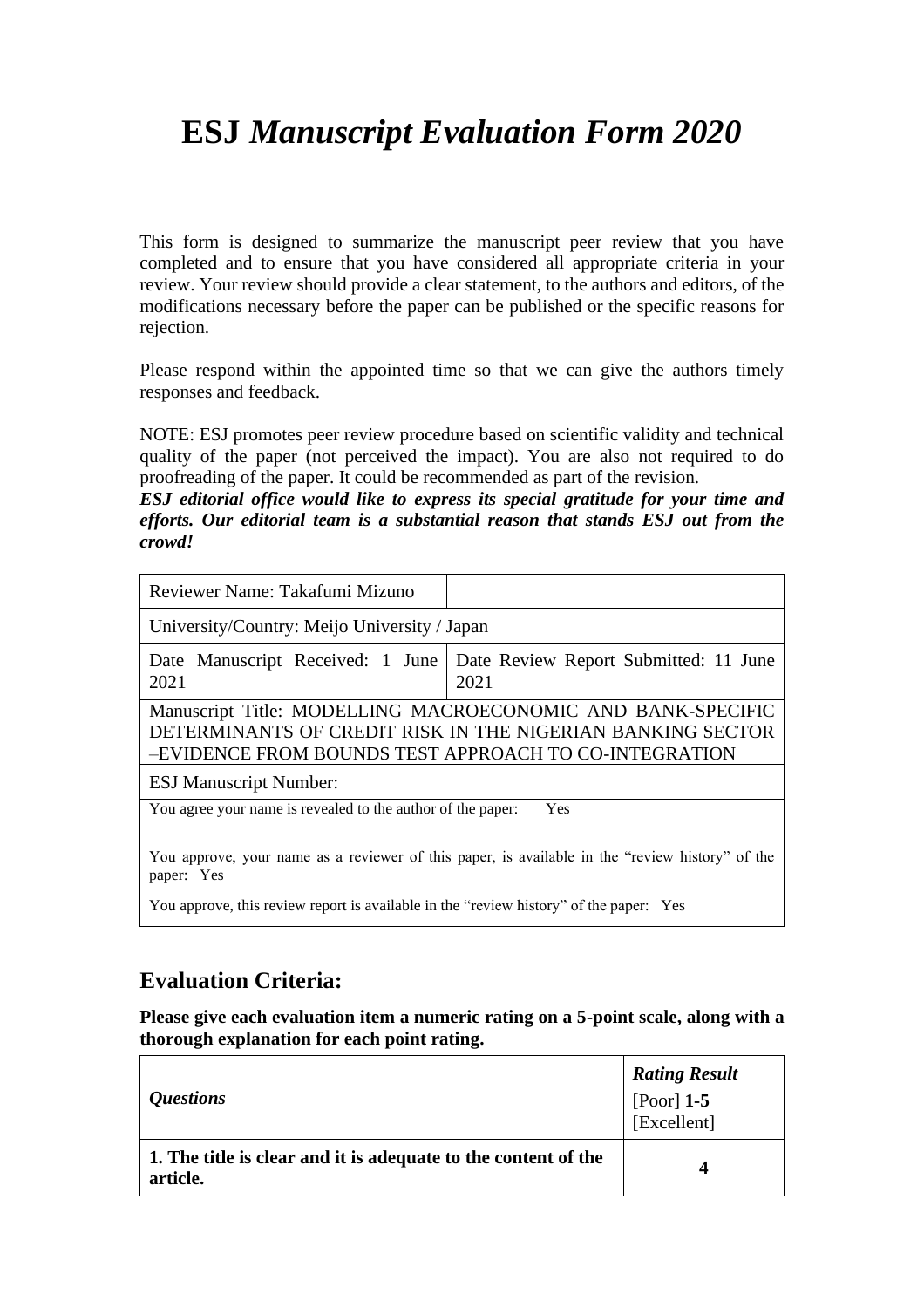# **ESJ** *Manuscript Evaluation Form 2020*

This form is designed to summarize the manuscript peer review that you have completed and to ensure that you have considered all appropriate criteria in your review. Your review should provide a clear statement, to the authors and editors, of the modifications necessary before the paper can be published or the specific reasons for rejection.

Please respond within the appointed time so that we can give the authors timely responses and feedback.

NOTE: ESJ promotes peer review procedure based on scientific validity and technical quality of the paper (not perceived the impact). You are also not required to do proofreading of the paper. It could be recommended as part of the revision.

*ESJ editorial office would like to express its special gratitude for your time and efforts. Our editorial team is a substantial reason that stands ESJ out from the crowd!*

| Reviewer Name: Takafumi Mizuno                              |                                                                                                                           |
|-------------------------------------------------------------|---------------------------------------------------------------------------------------------------------------------------|
| University/Country: Meijo University / Japan                |                                                                                                                           |
| Date Manuscript Received: 1 June<br>2021                    | Date Review Report Submitted: 11 June<br>2021                                                                             |
| -EVIDENCE FROM BOUNDS TEST APPROACH TO CO-INTEGRATION       | Manuscript Title: MODELLING MACROECONOMIC AND BANK-SPECIFIC<br>DETERMINANTS OF CREDIT RISK IN THE NIGERIAN BANKING SECTOR |
| <b>ESJ Manuscript Number:</b>                               |                                                                                                                           |
| You agree your name is revealed to the author of the paper: | Yes                                                                                                                       |
| paper: Yes                                                  | You approve, your name as a reviewer of this paper, is available in the "review history" of the                           |

You approve, this review report is available in the "review history" of the paper: Yes

### **Evaluation Criteria:**

**Please give each evaluation item a numeric rating on a 5-point scale, along with a thorough explanation for each point rating.**

|                                                                            | <b>Rating Result</b>      |
|----------------------------------------------------------------------------|---------------------------|
| <i><b>Questions</b></i>                                                    | [Poor] 1-5<br>[Excellent] |
| 1. The title is clear and it is adequate to the content of the<br>article. | Δ                         |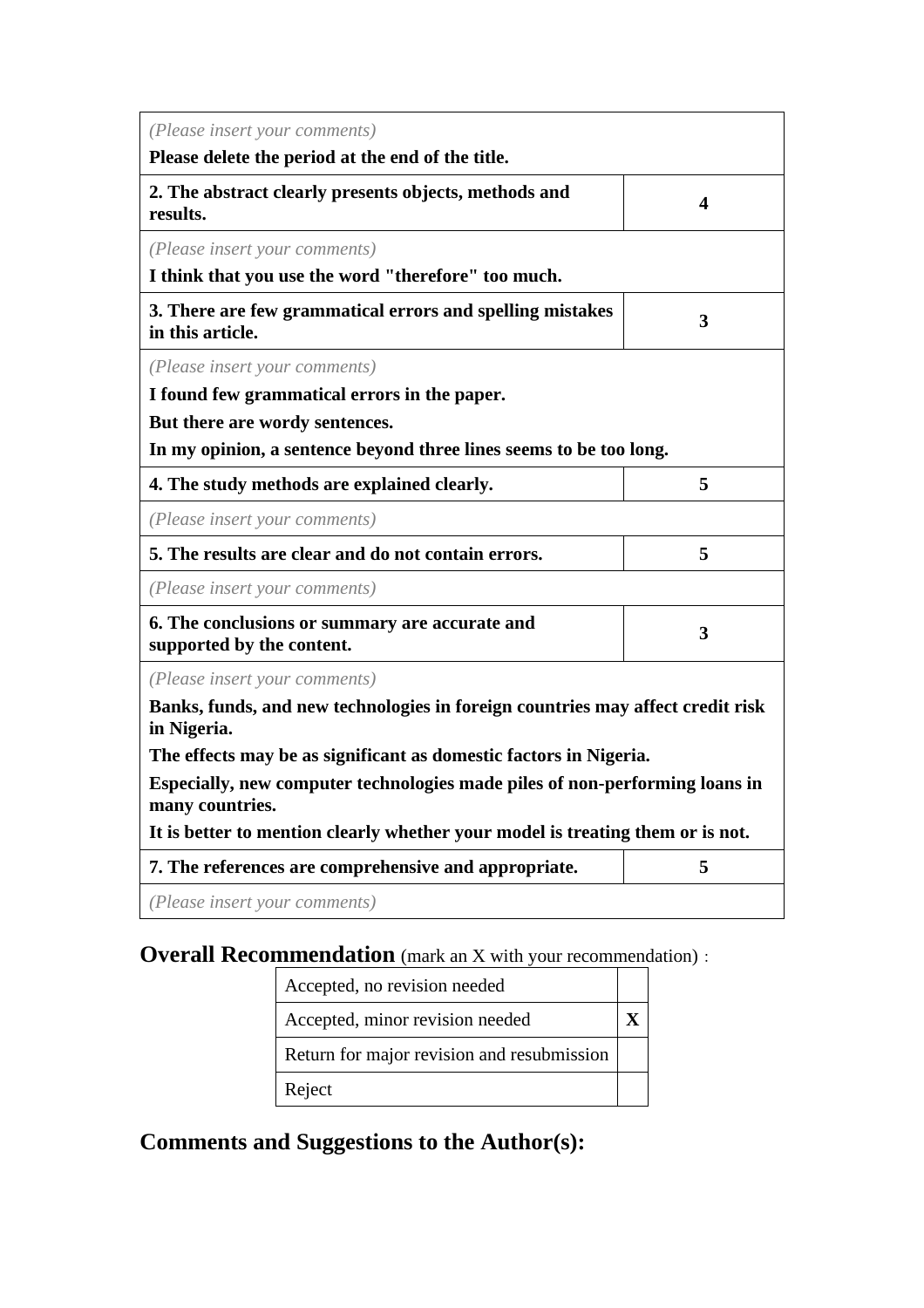| (Please insert your comments)                                                                  |                         |  |  |  |
|------------------------------------------------------------------------------------------------|-------------------------|--|--|--|
| Please delete the period at the end of the title.                                              |                         |  |  |  |
| 2. The abstract clearly presents objects, methods and<br>results.                              | $\overline{\mathbf{4}}$ |  |  |  |
| (Please insert your comments)                                                                  |                         |  |  |  |
| I think that you use the word "therefore" too much.                                            |                         |  |  |  |
| 3. There are few grammatical errors and spelling mistakes<br>in this article.                  | 3                       |  |  |  |
| (Please insert your comments)                                                                  |                         |  |  |  |
| I found few grammatical errors in the paper.                                                   |                         |  |  |  |
| But there are wordy sentences.                                                                 |                         |  |  |  |
| In my opinion, a sentence beyond three lines seems to be too long.                             |                         |  |  |  |
| 4. The study methods are explained clearly.                                                    | 5                       |  |  |  |
| (Please insert your comments)                                                                  |                         |  |  |  |
| 5. The results are clear and do not contain errors.                                            | 5                       |  |  |  |
| (Please insert your comments)                                                                  |                         |  |  |  |
| 6. The conclusions or summary are accurate and<br>supported by the content.                    | 3                       |  |  |  |
| (Please insert your comments)                                                                  |                         |  |  |  |
| Banks, funds, and new technologies in foreign countries may affect credit risk<br>in Nigeria.  |                         |  |  |  |
| The effects may be as significant as domestic factors in Nigeria.                              |                         |  |  |  |
| Especially, new computer technologies made piles of non-performing loans in<br>many countries. |                         |  |  |  |
| It is better to mention clearly whether your model is treating them or is not.                 |                         |  |  |  |
| 7. The references are comprehensive and appropriate.                                           | 5                       |  |  |  |
| (Please insert your comments)                                                                  |                         |  |  |  |

**Overall Recommendation** (mark an X with your recommendation):

| Accepted, no revision needed               |  |
|--------------------------------------------|--|
| Accepted, minor revision needed            |  |
| Return for major revision and resubmission |  |
| Reject                                     |  |

**Comments and Suggestions to the Author(s):**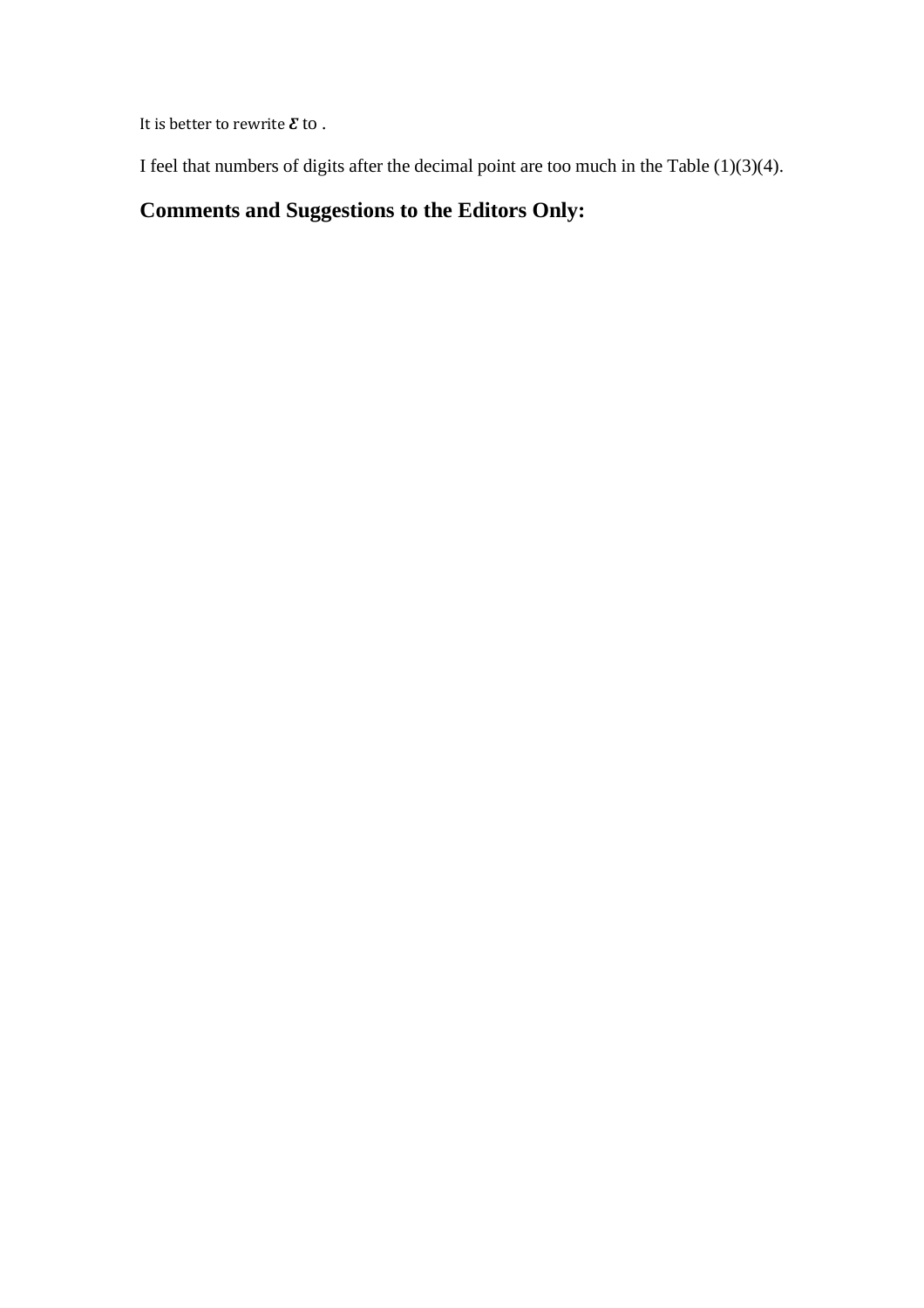It is better to rewrite  $\pmb{\mathcal{E}}$  to .

I feel that numbers of digits after the decimal point are too much in the Table  $(1)(3)(4)$ .

## **Comments and Suggestions to the Editors Only:**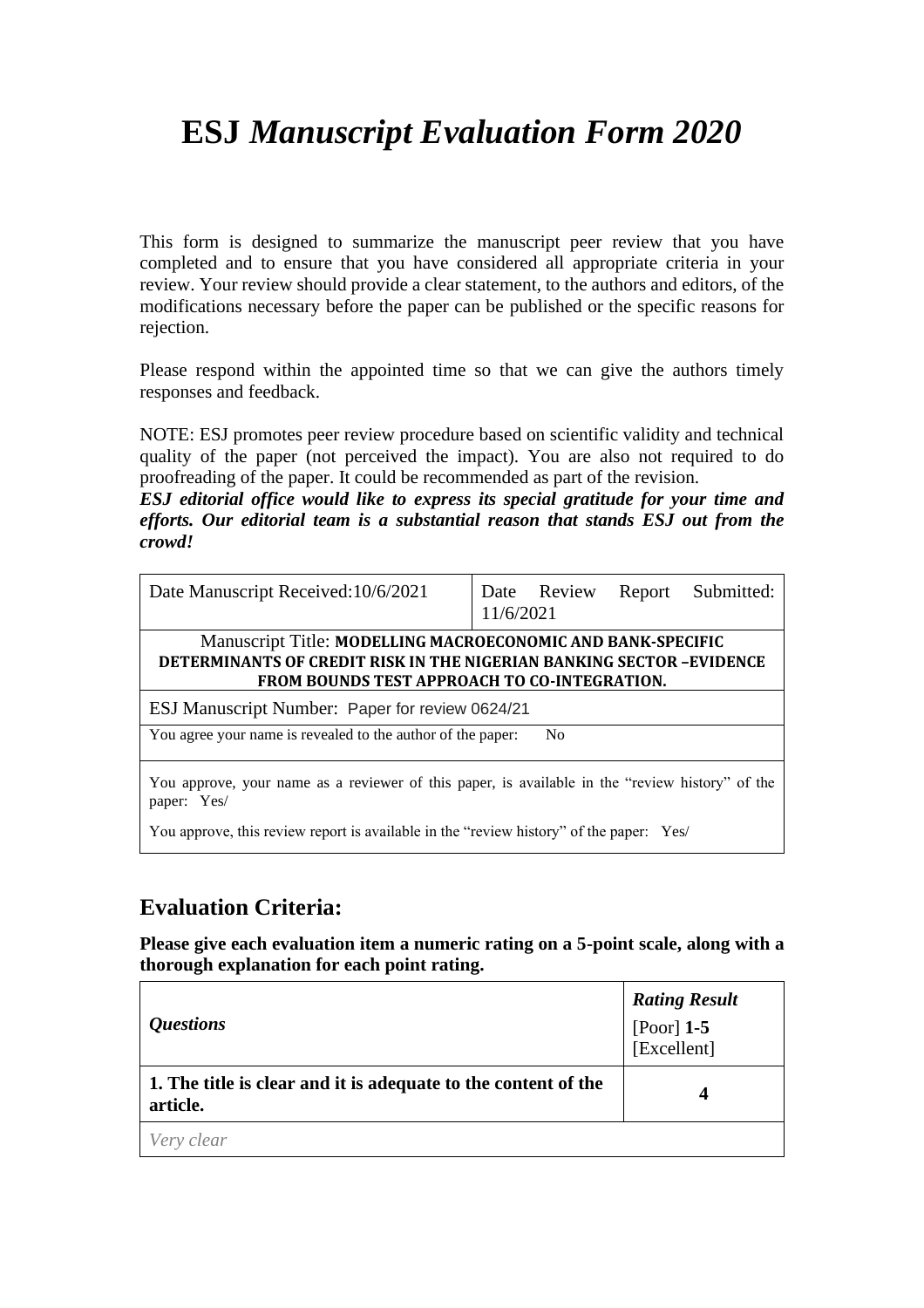# **ESJ** *Manuscript Evaluation Form 2020*

This form is designed to summarize the manuscript peer review that you have completed and to ensure that you have considered all appropriate criteria in your review. Your review should provide a clear statement, to the authors and editors, of the modifications necessary before the paper can be published or the specific reasons for rejection.

Please respond within the appointed time so that we can give the authors timely responses and feedback.

NOTE: ESJ promotes peer review procedure based on scientific validity and technical quality of the paper (not perceived the impact). You are also not required to do proofreading of the paper. It could be recommended as part of the revision.

*ESJ editorial office would like to express its special gratitude for your time and efforts. Our editorial team is a substantial reason that stands ESJ out from the crowd!*

| Date Manuscript Received: 10/6/2021                                                                                                                                                              | 11/6/2021 | Date Review    | Report | Submitted: |
|--------------------------------------------------------------------------------------------------------------------------------------------------------------------------------------------------|-----------|----------------|--------|------------|
| Manuscript Title: MODELLING MACROECONOMIC AND BANK-SPECIFIC<br><b>DETERMINANTS OF CREDIT RISK IN THE NIGERIAN BANKING SECTOR-EVIDENCE</b><br><b>FROM BOUNDS TEST APPROACH TO CO-INTEGRATION.</b> |           |                |        |            |
| ESJ Manuscript Number: Paper for review 0624/21                                                                                                                                                  |           |                |        |            |
| You agree your name is revealed to the author of the paper:                                                                                                                                      |           | N <sub>0</sub> |        |            |
| You approve, your name as a reviewer of this paper, is available in the "review history" of the<br>paper: Yes/                                                                                   |           |                |        |            |
| You approve, this review report is available in the "review history" of the paper: Yes/                                                                                                          |           |                |        |            |

### **Evaluation Criteria:**

**Please give each evaluation item a numeric rating on a 5-point scale, along with a thorough explanation for each point rating.**

| <i><b>Questions</b></i>                                                    | <b>Rating Result</b><br>[Poor] $1-5$<br>[Excellent] |
|----------------------------------------------------------------------------|-----------------------------------------------------|
| 1. The title is clear and it is adequate to the content of the<br>article. | 4                                                   |
| Very clear                                                                 |                                                     |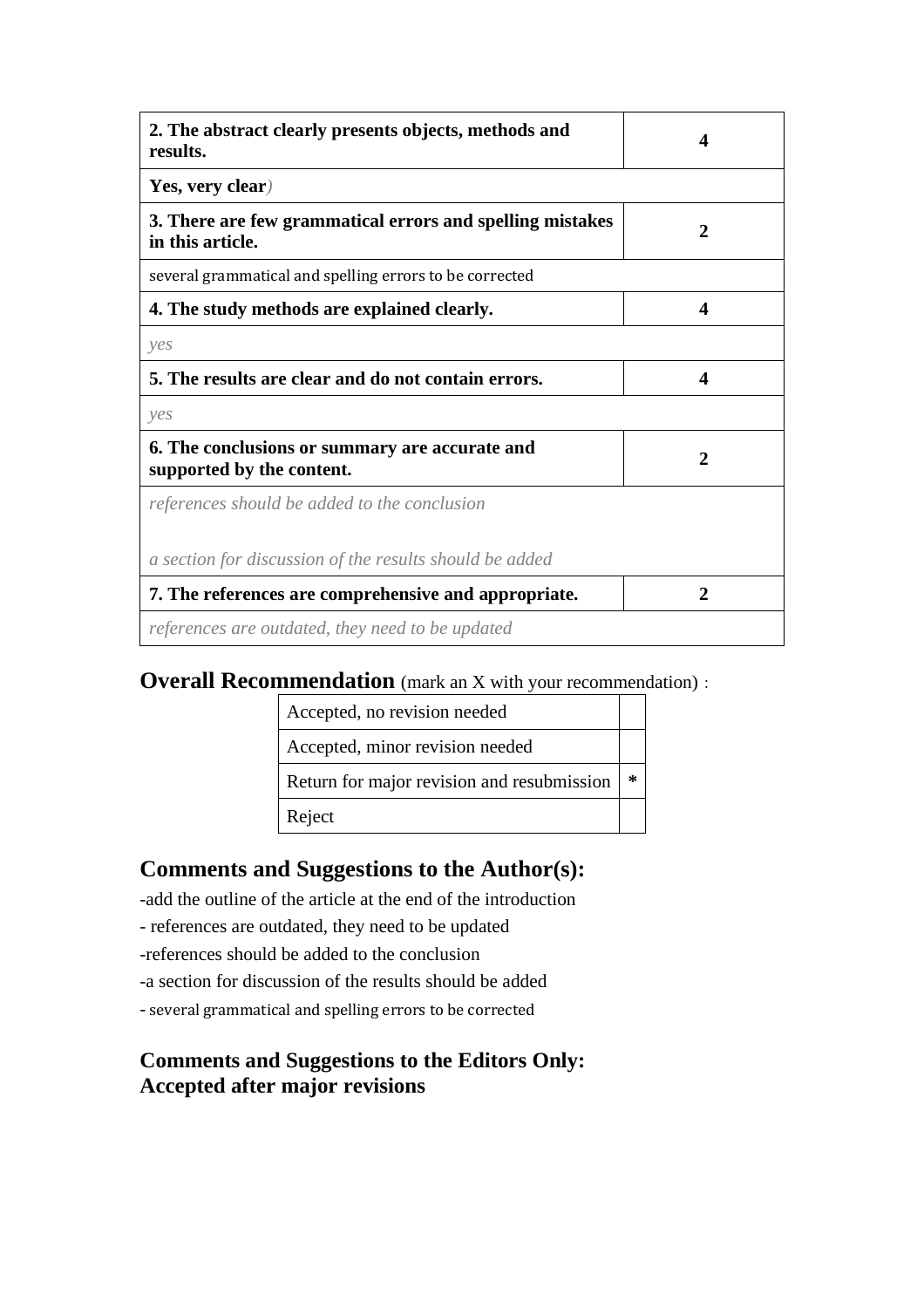| 2. The abstract clearly presents objects, methods and<br>results.             | $\boldsymbol{\Delta}$ |
|-------------------------------------------------------------------------------|-----------------------|
| Yes, very clear)                                                              |                       |
| 3. There are few grammatical errors and spelling mistakes<br>in this article. | 2                     |
| several grammatical and spelling errors to be corrected                       |                       |
| 4. The study methods are explained clearly.                                   | 4                     |
| yes                                                                           |                       |
| 5. The results are clear and do not contain errors.                           | 4                     |
| yes                                                                           |                       |
| 6. The conclusions or summary are accurate and<br>supported by the content.   | 2                     |
| references should be added to the conclusion                                  |                       |
| a section for discussion of the results should be added                       |                       |
| 7. The references are comprehensive and appropriate.                          | 2                     |
| references are outdated, they need to be updated                              |                       |

### **Overall Recommendation** (mark an X with your recommendation):

| Accepted, no revision needed               |   |
|--------------------------------------------|---|
| Accepted, minor revision needed            |   |
| Return for major revision and resubmission | ∗ |
| Reject                                     |   |

## **Comments and Suggestions to the Author(s):**

-add the outline of the article at the end of the introduction

- references are outdated, they need to be updated
- -references should be added to the conclusion
- -a section for discussion of the results should be added
- several grammatical and spelling errors to be corrected

### **Comments and Suggestions to the Editors Only: Accepted after major revisions**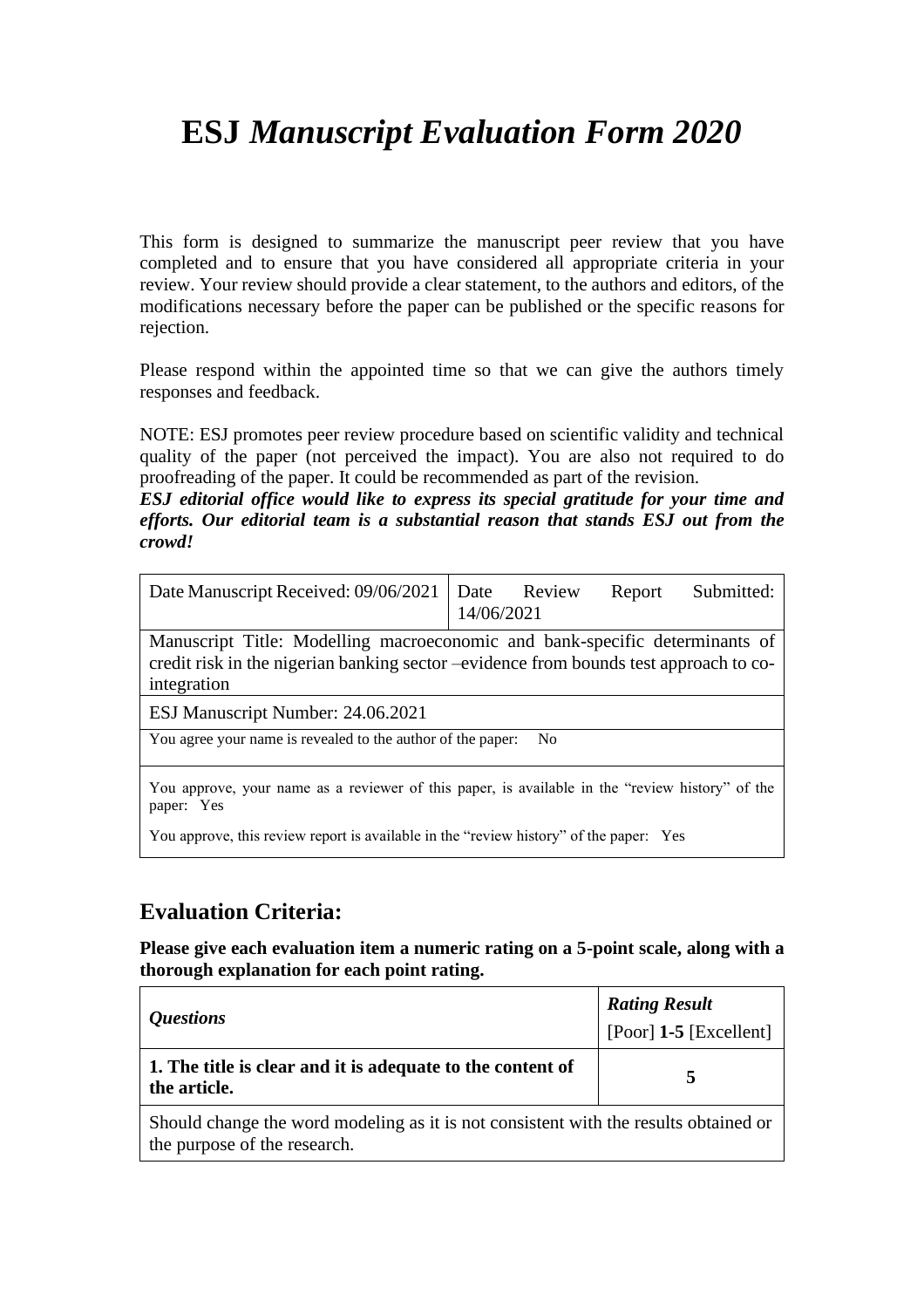# **ESJ** *Manuscript Evaluation Form 2020*

This form is designed to summarize the manuscript peer review that you have completed and to ensure that you have considered all appropriate criteria in your review. Your review should provide a clear statement, to the authors and editors, of the modifications necessary before the paper can be published or the specific reasons for rejection.

Please respond within the appointed time so that we can give the authors timely responses and feedback.

NOTE: ESJ promotes peer review procedure based on scientific validity and technical quality of the paper (not perceived the impact). You are also not required to do proofreading of the paper. It could be recommended as part of the revision.

*ESJ editorial office would like to express its special gratitude for your time and efforts. Our editorial team is a substantial reason that stands ESJ out from the crowd!*

| Date Manuscript Received: 09/06/2021                                                                                                                                                | 14/06/2021 | Date Review    | Report | Submitted: |
|-------------------------------------------------------------------------------------------------------------------------------------------------------------------------------------|------------|----------------|--------|------------|
| Manuscript Title: Modelling macroeconomic and bank-specific determinants of<br>credit risk in the nigerian banking sector -evidence from bounds test approach to co-<br>integration |            |                |        |            |
| ESJ Manuscript Number: 24.06.2021                                                                                                                                                   |            |                |        |            |
| You agree your name is revealed to the author of the paper:                                                                                                                         |            | N <sub>0</sub> |        |            |
|                                                                                                                                                                                     |            |                |        |            |

You approve, your name as a reviewer of this paper, is available in the "review history" of the paper: Yes

You approve, this review report is available in the "review history" of the paper: Yes

### **Evaluation Criteria:**

**Please give each evaluation item a numeric rating on a 5-point scale, along with a thorough explanation for each point rating.**

| <i><b>Questions</b></i>                                                              | <b>Rating Result</b><br>[Poor] $1-5$ [Excellent] |  |
|--------------------------------------------------------------------------------------|--------------------------------------------------|--|
| 1. The title is clear and it is adequate to the content of<br>the article.           |                                                  |  |
| Should change the word modeling as it is not consistent with the results obtained or |                                                  |  |

the purpose of the research.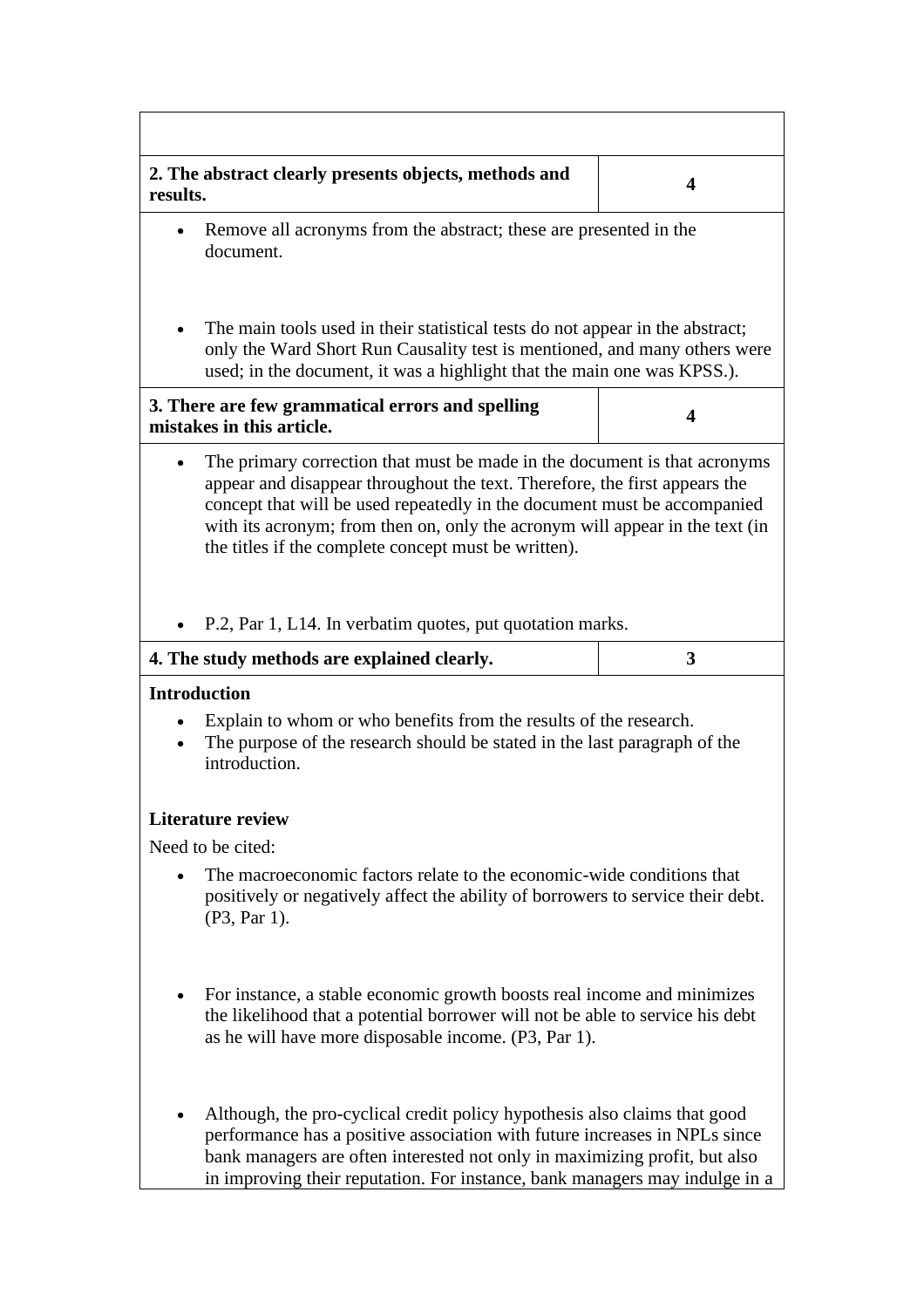| results.                                                                                                                                                                                                                                                                                                                                                                                 | 2. The abstract clearly presents objects, methods and                         | 4 |  |  |
|------------------------------------------------------------------------------------------------------------------------------------------------------------------------------------------------------------------------------------------------------------------------------------------------------------------------------------------------------------------------------------------|-------------------------------------------------------------------------------|---|--|--|
| Remove all acronyms from the abstract; these are presented in the<br>$\bullet$<br>document.                                                                                                                                                                                                                                                                                              |                                                                               |   |  |  |
| The main tools used in their statistical tests do not appear in the abstract;<br>only the Ward Short Run Causality test is mentioned, and many others were<br>used; in the document, it was a highlight that the main one was KPSS.).                                                                                                                                                    |                                                                               |   |  |  |
|                                                                                                                                                                                                                                                                                                                                                                                          | 3. There are few grammatical errors and spelling<br>mistakes in this article. | 4 |  |  |
| The primary correction that must be made in the document is that acronyms<br>$\bullet$<br>appear and disappear throughout the text. Therefore, the first appears the<br>concept that will be used repeatedly in the document must be accompanied<br>with its acronym; from then on, only the acronym will appear in the text (in<br>the titles if the complete concept must be written). |                                                                               |   |  |  |
|                                                                                                                                                                                                                                                                                                                                                                                          | P.2, Par 1, L14. In verbatim quotes, put quotation marks.                     |   |  |  |
|                                                                                                                                                                                                                                                                                                                                                                                          | 4. The study methods are explained clearly.                                   | 3 |  |  |
| <b>Introduction</b><br>Explain to whom or who benefits from the results of the research.<br>$\bullet$<br>The purpose of the research should be stated in the last paragraph of the<br>$\bullet$<br>introduction.                                                                                                                                                                         |                                                                               |   |  |  |
|                                                                                                                                                                                                                                                                                                                                                                                          | <b>Literature review</b>                                                      |   |  |  |
|                                                                                                                                                                                                                                                                                                                                                                                          | Need to be cited:                                                             |   |  |  |
| The macroeconomic factors relate to the economic-wide conditions that<br>$\bullet$<br>positively or negatively affect the ability of borrowers to service their debt.<br>(P3, Par 1).                                                                                                                                                                                                    |                                                                               |   |  |  |
| For instance, a stable economic growth boosts real income and minimizes<br>$\bullet$<br>the likelihood that a potential borrower will not be able to service his debt<br>as he will have more disposable income. (P3, Par 1).                                                                                                                                                            |                                                                               |   |  |  |
| Although, the pro-cyclical credit policy hypothesis also claims that good<br>performance has a positive association with future increases in NPLs since<br>bank managers are often interested not only in maximizing profit, but also<br>in improving their reputation. For instance, bank managers may indulge in a                                                                     |                                                                               |   |  |  |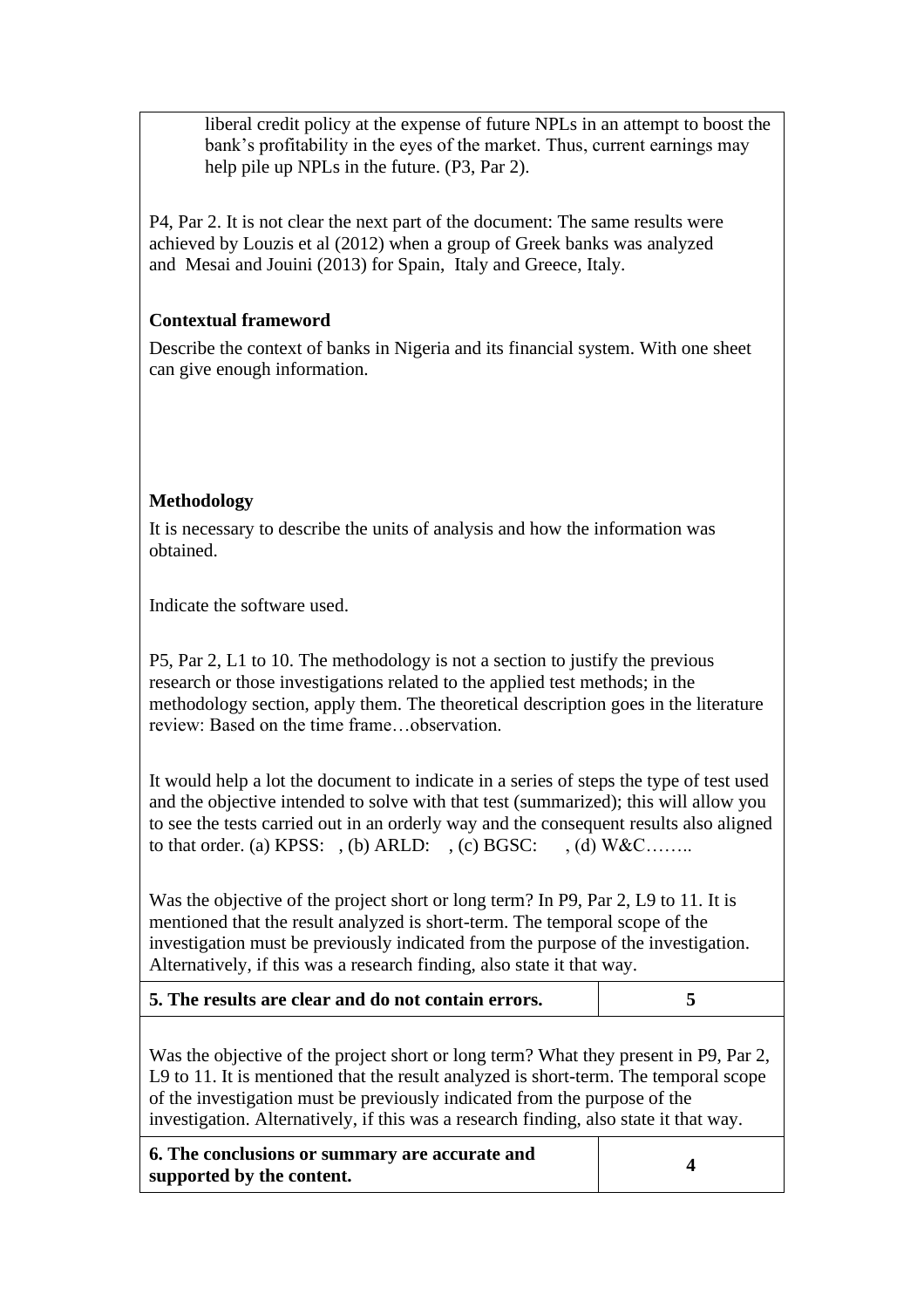liberal credit policy at the expense of future NPLs in an attempt to boost the bank's profitability in the eyes of the market. Thus, current earnings may help pile up NPLs in the future. (P3, Par 2).

P4, Par 2. It is not clear the next part of the document: The same results were achieved by Louzis et al (2012) when a group of Greek banks was analyzed and Mesai and Jouini (2013) for Spain, Italy and Greece, Italy.

### **Contextual frameword**

Describe the context of banks in Nigeria and its financial system. With one sheet can give enough information.

### **Methodology**

It is necessary to describe the units of analysis and how the information was obtained.

Indicate the software used.

P5, Par 2, L1 to 10. The methodology is not a section to justify the previous research or those investigations related to the applied test methods; in the methodology section, apply them. The theoretical description goes in the literature review: Based on the time frame…observation.

It would help a lot the document to indicate in a series of steps the type of test used and the objective intended to solve with that test (summarized); this will allow you to see the tests carried out in an orderly way and the consequent results also aligned to that order. (a) KPSS:  $(6)$  ARLD:  $(6)$  BGSC:  $(6)$  W&C…

Was the objective of the project short or long term? In P9, Par 2, L9 to 11. It is mentioned that the result analyzed is short-term. The temporal scope of the investigation must be previously indicated from the purpose of the investigation. Alternatively, if this was a research finding, also state it that way.

| 5. The results are clear and do not contain errors. |  |
|-----------------------------------------------------|--|
|                                                     |  |

Was the objective of the project short or long term? What they present in P9, Par 2, L9 to 11. It is mentioned that the result analyzed is short-term. The temporal scope of the investigation must be previously indicated from the purpose of the investigation. Alternatively, if this was a research finding, also state it that way.

**6. The conclusions or summary are accurate and supported by the content. 4**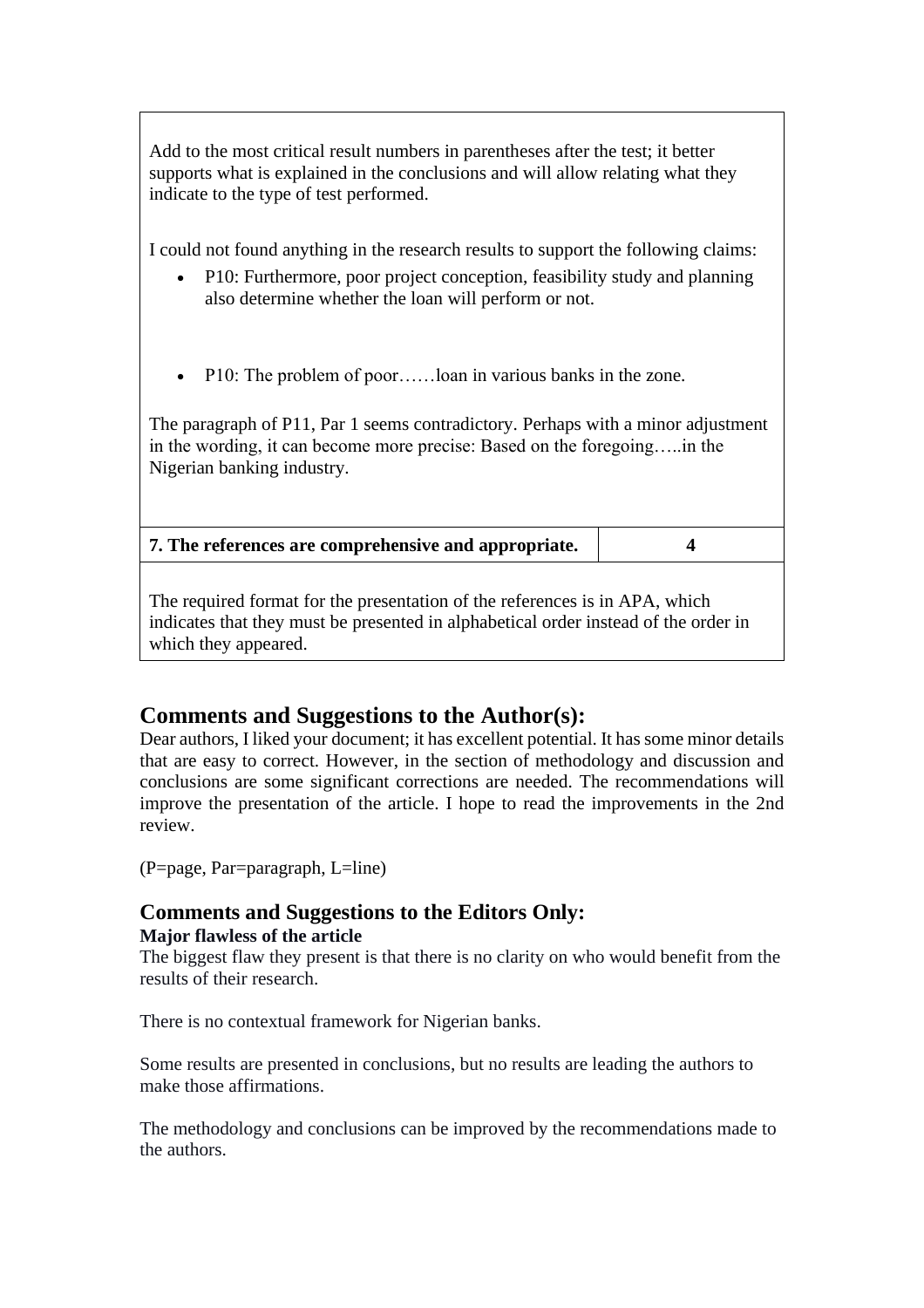Add to the most critical result numbers in parentheses after the test; it better supports what is explained in the conclusions and will allow relating what they indicate to the type of test performed.

I could not found anything in the research results to support the following claims:

- P10: Furthermore, poor project conception, feasibility study and planning also determine whether the loan will perform or not.
- P10: The problem of poor......loan in various banks in the zone.

The paragraph of P11, Par 1 seems contradictory. Perhaps with a minor adjustment in the wording, it can become more precise: Based on the foregoing…..in the Nigerian banking industry.

| 7. The references are comprehensive and appropriate. |  |
|------------------------------------------------------|--|
|------------------------------------------------------|--|

The required format for the presentation of the references is in APA, which indicates that they must be presented in alphabetical order instead of the order in which they appeared.

### **Comments and Suggestions to the Author(s):**

Dear authors, I liked your document; it has excellent potential. It has some minor details that are easy to correct. However, in the section of methodology and discussion and conclusions are some significant corrections are needed. The recommendations will improve the presentation of the article. I hope to read the improvements in the 2nd review.

(P=page, Par=paragraph, L=line)

#### **Comments and Suggestions to the Editors Only: Major flawless of the article**

The biggest flaw they present is that there is no clarity on who would benefit from the results of their research.

There is no contextual framework for Nigerian banks.

Some results are presented in conclusions, but no results are leading the authors to make those affirmations.

The methodology and conclusions can be improved by the recommendations made to the authors.